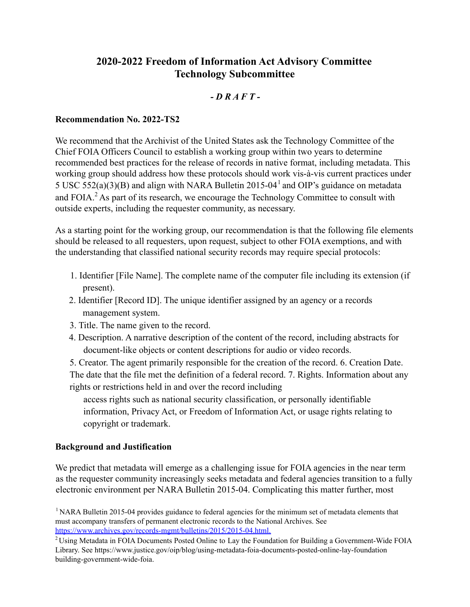# **2020-2022 Freedom of Information Act Advisory Committee Technology Subcommittee**

## *- D R A F T -*

#### **Recommendation No. 2022-TS2**

We recommend that the Archivist of the United States ask the Technology Committee of the Chief FOIA Officers Council to establish a working group within two years to determine recommended best practices for the release of records in native format, including metadata. This working group should address how these protocols should work vis-à-vis current practices under 5 USC 552(a)(3)(B) and align with NARA Bulletin 2015-04<sup>1</sup> and OIP's guidance on metadata and FOIA.<sup>2</sup> As part of its research, we encourage the Technology Committee to consult with outside experts, including the requester community, as necessary.

As a starting point for the working group, our recommendation is that the following file elements should be released to all requesters, upon request, subject to other FOIA exemptions, and with the understanding that classified national security records may require special protocols:

- 1. Identifier [File Name]. The complete name of the computer file including its extension (if present).
- 2. Identifier [Record ID]. The unique identifier assigned by an agency or a records management system.
- 3. Title. The name given to the record.
- 4. Description. A narrative description of the content of the record, including abstracts for document-like objects or content descriptions for audio or video records.

5. Creator. The agent primarily responsible for the creation of the record. 6. Creation Date. The date that the file met the definition of a federal record. 7. Rights. Information about any rights or restrictions held in and over the record including

access rights such as national security classification, or personally identifiable information, Privacy Act, or Freedom of Information Act, or usage rights relating to copyright or trademark.

### **Background and Justification**

We predict that metadata will emerge as a challenging issue for FOIA agencies in the near term as the requester community increasingly seeks metadata and federal agencies transition to a fully electronic environment per NARA Bulletin 2015-04. Complicating this matter further, most

<sup>1</sup> NARA Bulletin 2015-04 provides guidance to federal agencies for the minimum set of metadata elements that must accompany transfers of permanent electronic records to the National Archives. See <https://www.archives.gov/records-mgmt/bulletins/2015/2015-04.html>.

 $2$ Using Metadata in FOIA Documents Posted Online to Lay the Foundation for Building a Government-Wide FOIA Library. See <https://www.justice.gov/oip/blog/using-metadata-foia-documents-posted-online-lay-foundation> building-government-wide-foia.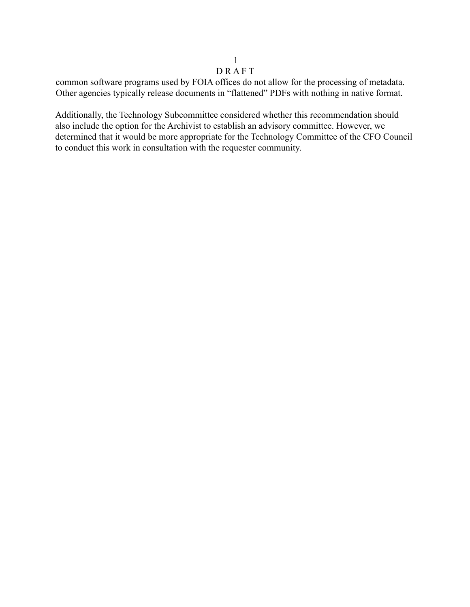#### 1 D R A F T

common software programs used by FOIA offices do not allow for the processing of metadata. Other agencies typically release documents in "flattened" PDFs with nothing in native format.

Additionally, the Technology Subcommittee considered whether this recommendation should also include the option for the Archivist to establish an advisory committee. However, we determined that it would be more appropriate for the Technology Committee of the CFO Council to conduct this work in consultation with the requester community.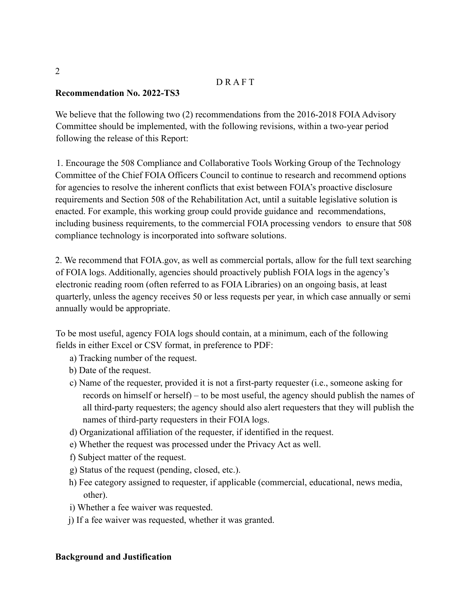## D R A F T

## **Recommendation No. 2022-TS3**

We believe that the following two (2) recommendations from the 2016-2018 FOIA Advisory Committee should be implemented, with the following revisions, within a two-year period following the release of this Report:

1. Encourage the 508 Compliance and Collaborative Tools Working Group of the Technology Committee of the Chief FOIA Officers Council to continue to research and recommend options for agencies to resolve the inherent conflicts that exist between FOIA's proactive disclosure requirements and Section 508 of the Rehabilitation Act, until a suitable legislative solution is enacted. For example, this working group could provide guidance and recommendations, including business requirements, to the commercial FOIA processing vendors to ensure that 508 compliance technology is incorporated into software solutions.

2. We recommend that [FOIA.gov,](https://FOIA.gov) as well as commercial portals, allow for the full text searching of FOIA logs. Additionally, agencies should proactively publish FOIA logs in the agency's electronic reading room (often referred to as FOIA Libraries) on an ongoing basis, at least quarterly, unless the agency receives 50 or less requests per year, in which case annually or semi annually would be appropriate.

To be most useful, agency FOIA logs should contain, at a minimum, each of the following fields in either Excel or CSV format, in preference to PDF:

- a) Tracking number of the request.
- b) Date of the request.
- c) Name of the requester, provided it is not a first-party requester (i.e., someone asking for records on himself or herself) – to be most useful, the agency should publish the names of all third-party requesters; the agency should also alert requesters that they will publish the names of third-party requesters in their FOIA logs.
- d) Organizational affiliation of the requester, if identified in the request.
- e) Whether the request was processed under the Privacy Act as well.
- f) Subject matter of the request.
- g) Status of the request (pending, closed, etc.).
- h) Fee category assigned to requester, if applicable (commercial, educational, news media, other).
- i) Whether a fee waiver was requested.
- j) If a fee waiver was requested, whether it was granted.

#### **Background and Justification**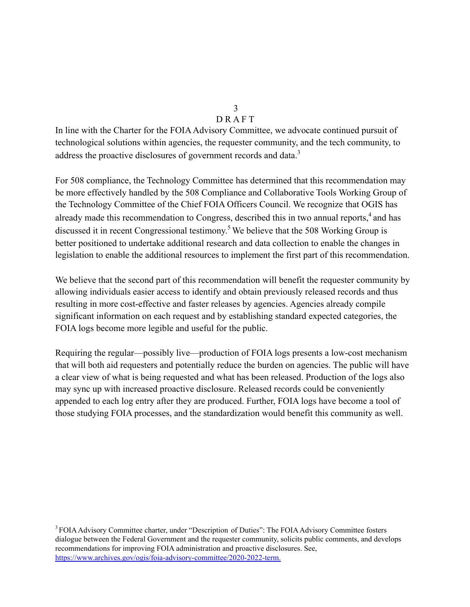# D R A F T

In line with the Charter for the FOIA Advisory Committee, we advocate continued pursuit of technological solutions within agencies, the requester community, and the tech community, to address the proactive disclosures of government records and data.<sup>3</sup>

For 508 compliance, the Technology Committee has determined that this recommendation may be more effectively handled by the 508 Compliance and Collaborative Tools Working Group of the Technology Committee of the Chief FOIA Officers Council. We recognize that OGIS has already made this recommendation to Congress, described this in two annual reports,<sup>4</sup> and has discussed it in recent Congressional testimony.<sup>5</sup> We believe that the 508 Working Group is better positioned to undertake additional research and data collection to enable the changes in legislation to enable the additional resources to implement the first part of this recommendation.

We believe that the second part of this recommendation will benefit the requester community by allowing individuals easier access to identify and obtain previously released records and thus resulting in more cost-effective and faster releases by agencies. Agencies already compile significant information on each request and by establishing standard expected categories, the FOIA logs become more legible and useful for the public.

Requiring the regular—possibly live—production of FOIA logs presents a low-cost mechanism that will both aid requesters and potentially reduce the burden on agencies. The public will have a clear view of what is being requested and what has been released. Production of the logs also may sync up with increased proactive disclosure. Released records could be conveniently appended to each log entry after they are produced. Further, FOIA logs have become a tool of those studying FOIA processes, and the standardization would benefit this community as well.

<sup>3</sup> FOIA Advisory Committee charter, under "Description of Duties": The FOIA Advisory Committee fosters dialogue between the Federal Government and the requester community, solicits public comments, and develops recommendations for improving FOIA administration and proactive disclosures. See, <https://www.archives.gov/ogis/foia-advisory-committee/2020-2022-term>.

# 3